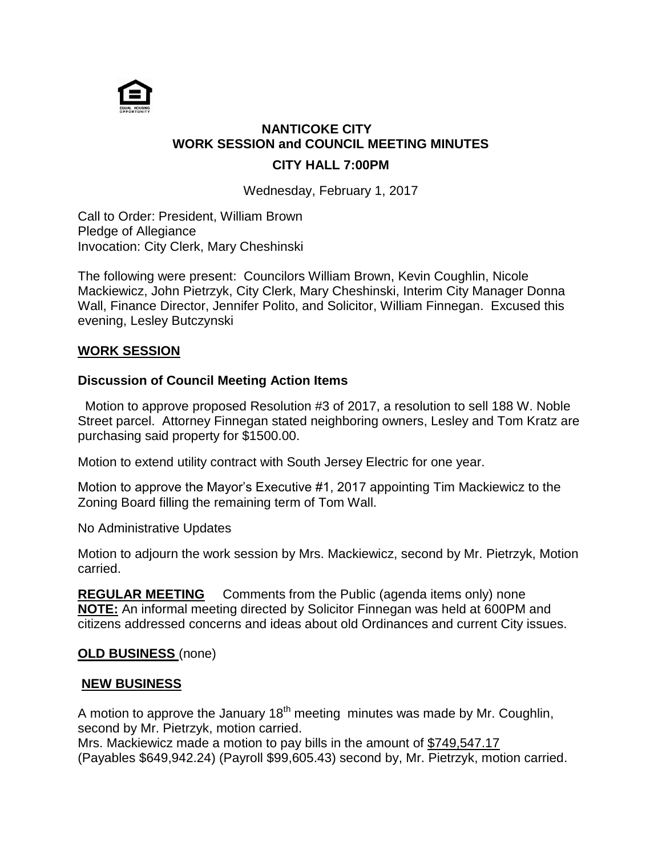

# **NANTICOKE CITY WORK SESSION and COUNCIL MEETING MINUTES**

## **CITY HALL 7:00PM**

Wednesday, February 1, 2017

Call to Order: President, William Brown Pledge of Allegiance Invocation: City Clerk, Mary Cheshinski

The following were present: Councilors William Brown, Kevin Coughlin, Nicole Mackiewicz, John Pietrzyk, City Clerk, Mary Cheshinski, Interim City Manager Donna Wall, Finance Director, Jennifer Polito, and Solicitor, William Finnegan. Excused this evening, Lesley Butczynski

#### **WORK SESSION**

### **Discussion of Council Meeting Action Items**

Motion to approve proposed Resolution #3 of 2017, a resolution to sell 188 W. Noble Street parcel. Attorney Finnegan stated neighboring owners, Lesley and Tom Kratz are purchasing said property for \$1500.00.

Motion to extend utility contract with South Jersey Electric for one year.

Motion to approve the Mayor's Executive #1, 2017 appointing Tim Mackiewicz to the Zoning Board filling the remaining term of Tom Wall.

No Administrative Updates

Motion to adjourn the work session by Mrs. Mackiewicz, second by Mr. Pietrzyk, Motion carried.

**REGULAR MEETING** Comments from the Public (agenda items only) none **NOTE:** An informal meeting directed by Solicitor Finnegan was held at 600PM and citizens addressed concerns and ideas about old Ordinances and current City issues.

#### **OLD BUSINESS** (none)

#### **NEW BUSINESS**

A motion to approve the January  $18<sup>th</sup>$  meeting minutes was made by Mr. Coughlin, second by Mr. Pietrzyk, motion carried.

Mrs. Mackiewicz made a motion to pay bills in the amount of \$749,547.17 (Payables \$649,942.24) (Payroll \$99,605.43) second by, Mr. Pietrzyk, motion carried.